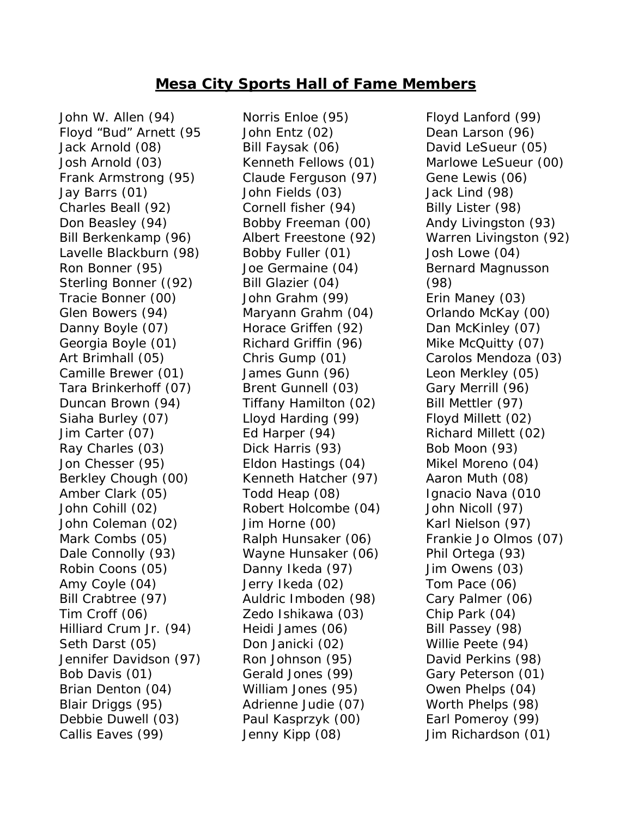## **Mesa City Sports Hall of Fame Members**

John W. Allen (94) Floyd "Bud" Arnett (95 Jack Arnold (08) Josh Arnold (03) Frank Armstrong (95) Jay Barrs (01) Charles Beall (92) Don Beasley (94) Bill Berkenkamp (96) Lavelle Blackburn (98) Ron Bonner (95) Sterling Bonner ((92) Tracie Bonner (00) Glen Bowers (94) Danny Boyle (07) Georgia Boyle (01) Art Brimhall (05) Camille Brewer (01) Tara Brinkerhoff (07) Duncan Brown (94) Siaha Burley (07) Jim Carter (07) Ray Charles (03) Jon Chesser (95) Berkley Chough (00) Amber Clark (05) John Cohill (02) John Coleman (02) Mark Combs (05) Dale Connolly (93) Robin Coons (05) Amy Coyle (04) Bill Crabtree (97) Tim Croff (06) Hilliard Crum Jr. (94) Seth Darst (05) Jennifer Davidson (97) Bob Davis (01) Brian Denton (04) Blair Driggs (95) Debbie Duwell (03) Callis Eaves (99)

Norris Enloe (95) John Entz (02) Bill Faysak (06) Kenneth Fellows (01) Claude Ferguson (97) John Fields (03) Cornell fisher (94) Bobby Freeman (00) Albert Freestone (92) Bobby Fuller (01) Joe Germaine (04) Bill Glazier (04) John Grahm (99) Maryann Grahm (04) Horace Griffen (92) Richard Griffin (96) Chris Gump (01) James Gunn (96) Brent Gunnell (03) Tiffany Hamilton (02) Lloyd Harding (99) Ed Harper (94) Dick Harris (93) Eldon Hastings (04) Kenneth Hatcher (97) Todd Heap (08) Robert Holcombe (04) Jim Horne (00) Ralph Hunsaker (06) Wayne Hunsaker (06) Danny Ikeda (97) Jerry Ikeda (02) Auldric Imboden (98) Zedo Ishikawa (03) Heidi James (06) Don Janicki (02) Ron Johnson (95) Gerald Jones (99) William Jones (95) Adrienne Judie (07) Paul Kasprzyk (00) Jenny Kipp (08)

Floyd Lanford (99) Dean Larson (96) David LeSueur (05) Marlowe LeSueur (00) Gene Lewis (06) Jack Lind (98) Billy Lister (98) Andy Livingston (93) Warren Livingston (92) Josh Lowe (04) Bernard Magnusson (98) Erin Maney (03) Orlando McKay (00) Dan McKinley (07) Mike McQuitty (07) Carolos Mendoza (03) Leon Merkley (05) Gary Merrill (96) Bill Mettler (97) Floyd Millett (02) Richard Millett (02) Bob Moon (93) Mikel Moreno (04) Aaron Muth (08) Ignacio Nava (010 John Nicoll (97) Karl Nielson (97) Frankie Jo Olmos (07) Phil Ortega (93) Jim Owens (03) Tom Pace (06) Cary Palmer (06) Chip Park (04) Bill Passey (98) Willie Peete (94) David Perkins (98) Gary Peterson (01) Owen Phelps (04) Worth Phelps (98) Earl Pomeroy (99) Jim Richardson (01)